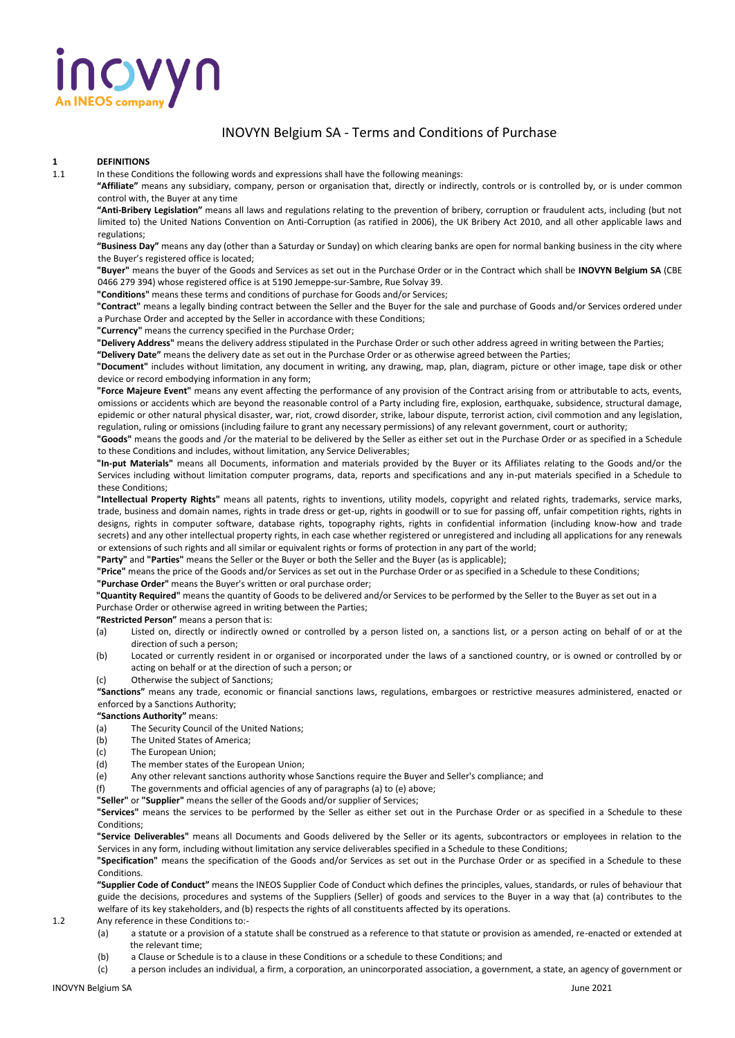

## INOVYN Belgium SA - Terms and Conditions of Purchase

## **1 DEFINITIONS**<br>**1.1** In these Cond

In these Conditions the following words and expressions shall have the following meanings:

**"Affiliate"** means any subsidiary, company, person or organisation that, directly or indirectly, controls or is controlled by, or is under common control with, the Buyer at any time

**"Anti-Bribery Legislation"** means all laws and regulations relating to the prevention of bribery, corruption or fraudulent acts, including (but not limited to) the United Nations Convention on Anti-Corruption (as ratified in 2006), the UK Bribery Act 2010, and all other applicable laws and regulations;

**"Business Day"** means any day (other than a Saturday or Sunday) on which clearing banks are open for normal banking business in the city where the Buyer's registered office is located;

**"Buyer"** means the buyer of the Goods and Services as set out in the Purchase Order or in the Contract which shall be **INOVYN Belgium SA** (CBE 0466 279 394) whose registered office is at 5190 Jemeppe-sur-Sambre, Rue Solvay 39.

**"Conditions"** means these terms and conditions of purchase for Goods and/or Services;

**"Contract"** means a legally binding contract between the Seller and the Buyer for the sale and purchase of Goods and/or Services ordered under a Purchase Order and accepted by the Seller in accordance with these Conditions;

**"Currency"** means the currency specified in the Purchase Order;

**"Delivery Address"** means the delivery address stipulated in the Purchase Order or such other address agreed in writing between the Parties;

**"Delivery Date"** means the delivery date as set out in the Purchase Order or as otherwise agreed between the Parties;

**"Document"** includes without limitation, any document in writing, any drawing, map, plan, diagram, picture or other image, tape disk or other device or record embodying information in any form;

**"Force Majeure Event"** means any event affecting the performance of any provision of the Contract arising from or attributable to acts, events, omissions or accidents which are beyond the reasonable control of a Party including fire, explosion, earthquake, subsidence, structural damage, epidemic or other natural physical disaster, war, riot, crowd disorder, strike, labour dispute, terrorist action, civil commotion and any legislation, regulation, ruling or omissions (including failure to grant any necessary permissions) of any relevant government, court or authority;

**"Goods"** means the goods and /or the material to be delivered by the Seller as either set out in the Purchase Order or as specified in a Schedule to these Conditions and includes, without limitation, any Service Deliverables;

**"In-put Materials"** means all Documents, information and materials provided by the Buyer or its Affiliates relating to the Goods and/or the Services including without limitation computer programs, data, reports and specifications and any in-put materials specified in a Schedule to these Conditions;

**"Intellectual Property Rights"** means all patents, rights to inventions, utility models, copyright and related rights, trademarks, service marks, trade, business and domain names, rights in trade dress or get-up, rights in goodwill or to sue for passing off, unfair competition rights, rights in designs, rights in computer software, database rights, topography rights, rights in confidential information (including know-how and trade secrets) and any other intellectual property rights, in each case whether registered or unregistered and including all applications for any renewals or extensions of such rights and all similar or equivalent rights or forms of protection in any part of the world;

**"Party"** and **"Parties"** means the Seller or the Buyer or both the Seller and the Buyer (as is applicable);

**"Price"** means the price of the Goods and/or Services as set out in the Purchase Order or as specified in a Schedule to these Conditions;

**"Purchase Order"** means the Buyer's written or oral purchase order;

**"Quantity Required"** means the quantity of Goods to be delivered and/or Services to be performed by the Seller to the Buyer as set out in a Purchase Order or otherwise agreed in writing between the Parties;

**"Restricted Person"** means a person that is:

- (a) Listed on, directly or indirectly owned or controlled by a person listed on, a sanctions list, or a person acting on behalf of or at the direction of such a person;
- (b) Located or currently resident in or organised or incorporated under the laws of a sanctioned country, or is owned or controlled by or acting on behalf or at the direction of such a person; or
- (c) Otherwise the subject of Sanctions;

**"Sanctions"** means any trade, economic or financial sanctions laws, regulations, embargoes or restrictive measures administered, enacted or enforced by a Sanctions Authority;

**"Sanctions Authority"** means:

- (a) The Security Council of the United Nations;
- (b) The United States of America;
- (c) The European Union;
- (d) The member states of the European Union;
- (e) Any other relevant sanctions authority whose Sanctions require the Buyer and Seller's compliance; and
- (f) The governments and official agencies of any of paragraphs (a) to (e) above;
- **"Seller"** or **"Supplier"** means the seller of the Goods and/or supplier of Services;

**"Services"** means the services to be performed by the Seller as either set out in the Purchase Order or as specified in a Schedule to these Conditions;

**"Service Deliverables"** means all Documents and Goods delivered by the Seller or its agents, subcontractors or employees in relation to the Services in any form, including without limitation any service deliverables specified in a Schedule to these Conditions;

**"Specification"** means the specification of the Goods and/or Services as set out in the Purchase Order or as specified in a Schedule to these Conditions.

**"Supplier Code of Conduct"** means the INEOS Supplier Code of Conduct which defines the principles, values, standards, or rules of behaviour that guide the decisions, procedures and systems of the Suppliers (Seller) of goods and services to the Buyer in a way that (a) contributes to the welfare of its key stakeholders, and (b) respects the rights of all constituents affected by its operations.

1.2 Any reference in these Conditions to:-

- (a) a statute or a provision of a statute shall be construed as a reference to that statute or provision as amended, re-enacted or extended at the relevant time;
- (b) a Clause or Schedule is to a clause in these Conditions or a schedule to these Conditions; and
- (c) a person includes an individual, a firm, a corporation, an unincorporated association, a government, a state, an agency of government or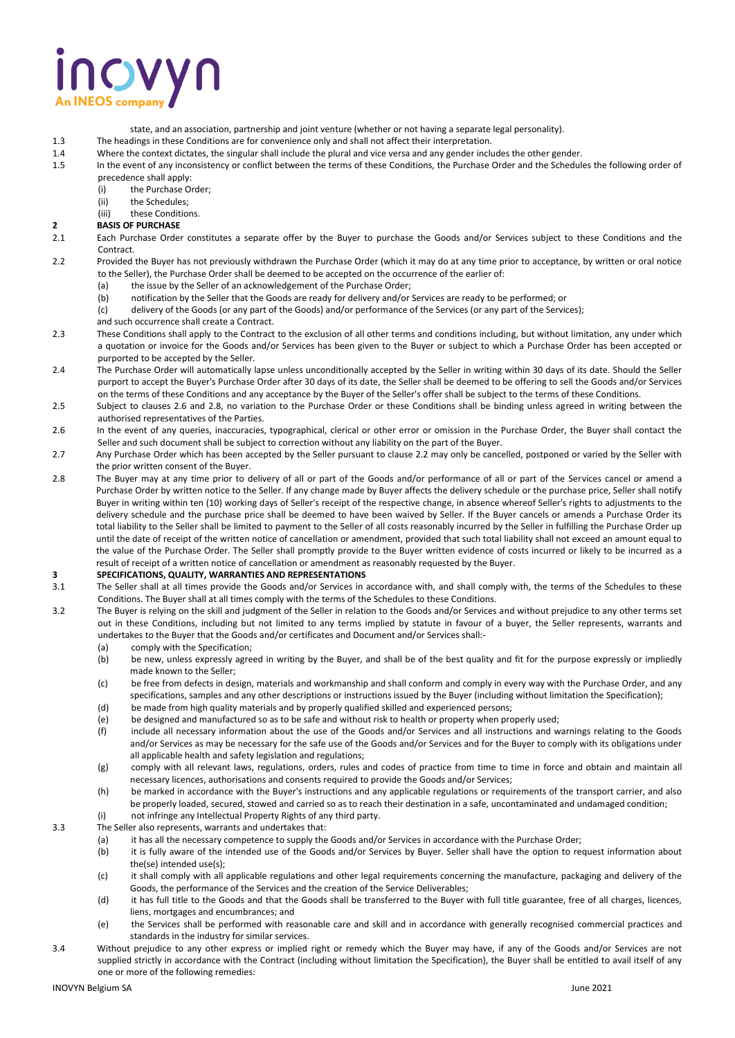# novyn

- state, and an association, partnership and joint venture (whether or not having a separate legal personality).
- 1.3 The headings in these Conditions are for convenience only and shall not affect their interpretation.<br>1.4 Where the context dictates, the singular shall include the plural and vice versa and any gender inclu
	- 1.4 Where the context dictates, the singular shall include the plural and vice versa and any gender includes the other gender.
- 1.5 In the event of any inconsistency or conflict between the terms of these Conditions, the Purchase Order and the Schedules the following order of precedence shall apply:
	- (i) the Purchase Order;
	- (ii) the Schedules;
	- (iii) these Conditions.

## **2 BASIS OF PURCHASE**

- 2.1 Each Purchase Order constitutes a separate offer by the Buyer to purchase the Goods and/or Services subject to these Conditions and the Contract.
- 2.2 Provided the Buyer has not previously withdrawn the Purchase Order (which it may do at any time prior to acceptance, by written or oral notice to the Seller), the Purchase Order shall be deemed to be accepted on the occurrence of the earlier of:
	- (a) the issue by the Seller of an acknowledgement of the Purchase Order;
	- (b) notification by the Seller that the Goods are ready for delivery and/or Services are ready to be performed; or
	- (c) delivery of the Goods (or any part of the Goods) and/or performance of the Services (or any part of the Services);
	- and such occurrence shall create a Contract.
- 2.3 These Conditions shall apply to the Contract to the exclusion of all other terms and conditions including, but without limitation, any under which a quotation or invoice for the Goods and/or Services has been given to the Buyer or subject to which a Purchase Order has been accepted or purported to be accepted by the Seller.
- 2.4 The Purchase Order will automatically lapse unless unconditionally accepted by the Seller in writing within 30 days of its date. Should the Seller purport to accept the Buyer's Purchase Order after 30 days of its date, the Seller shall be deemed to be offering to sell the Goods and/or Services on the terms of these Conditions and any acceptance by the Buyer of the Seller's offer shall be subject to the terms of these Conditions.
- 2.5 Subject to clauses 2.6 and 2.8, no variation to the Purchase Order or these Conditions shall be binding unless agreed in writing between the authorised representatives of the Parties.
- 2.6 In the event of any queries, inaccuracies, typographical, clerical or other error or omission in the Purchase Order, the Buyer shall contact the Seller and such document shall be subject to correction without any liability on the part of the Buyer.
- 2.7 Any Purchase Order which has been accepted by the Seller pursuant to clause 2.2 may only be cancelled, postponed or varied by the Seller with the prior written consent of the Buyer.
- 2.8 The Buyer may at any time prior to delivery of all or part of the Goods and/or performance of all or part of the Services cancel or amend a Purchase Order by written notice to the Seller. If any change made by Buyer affects the delivery schedule or the purchase price, Seller shall notify Buyer in writing within ten (10) working days of Seller's receipt of the respective change, in absence whereof Seller's rights to adjustments to the delivery schedule and the purchase price shall be deemed to have been waived by Seller. If the Buyer cancels or amends a Purchase Order its total liability to the Seller shall be limited to payment to the Seller of all costs reasonably incurred by the Seller in fulfilling the Purchase Order up until the date of receipt of the written notice of cancellation or amendment, provided that such total liability shall not exceed an amount equal to the value of the Purchase Order. The Seller shall promptly provide to the Buyer written evidence of costs incurred or likely to be incurred as a result of receipt of a written notice of cancellation or amendment as reasonably requested by the Buyer.

## **3 SPECIFICATIONS, QUALITY, WARRANTIES AND REPRESENTATIONS**

- 3.1 The Seller shall at all times provide the Goods and/or Services in accordance with, and shall comply with, the terms of the Schedules to these Conditions. The Buyer shall at all times comply with the terms of the Schedules to these Conditions.
- 3.2 The Buyer is relying on the skill and judgment of the Seller in relation to the Goods and/or Services and without prejudice to any other terms set out in these Conditions, including but not limited to any terms implied by statute in favour of a buyer, the Seller represents, warrants and undertakes to the Buyer that the Goods and/or certificates and Document and/or Services shall:-
	- (a) comply with the Specification;
	- (b) be new, unless expressly agreed in writing by the Buyer, and shall be of the best quality and fit for the purpose expressly or impliedly made known to the Seller;
	- (c) be free from defects in design, materials and workmanship and shall conform and comply in every way with the Purchase Order, and any specifications, samples and any other descriptions or instructions issued by the Buyer (including without limitation the Specification);
	- (d) be made from high quality materials and by properly qualified skilled and experienced persons;
	- (e) be designed and manufactured so as to be safe and without risk to health or property when properly used;
	- (f) include all necessary information about the use of the Goods and/or Services and all instructions and warnings relating to the Goods and/or Services as may be necessary for the safe use of the Goods and/or Services and for the Buyer to comply with its obligations under all applicable health and safety legislation and regulations;
	- (g) comply with all relevant laws, regulations, orders, rules and codes of practice from time to time in force and obtain and maintain all necessary licences, authorisations and consents required to provide the Goods and/or Services;
	- (h) be marked in accordance with the Buyer's instructions and any applicable regulations or requirements of the transport carrier, and also be properly loaded, secured, stowed and carried so as to reach their destination in a safe, uncontaminated and undamaged condition;
	- (i) not infringe any Intellectual Property Rights of any third party.
- 3.3 The Seller also represents, warrants and undertakes that:
	- (a) it has all the necessary competence to supply the Goods and/or Services in accordance with the Purchase Order;
	- (b) it is fully aware of the intended use of the Goods and/or Services by Buyer. Seller shall have the option to request information about the(se) intended use(s);
	- (c) it shall comply with all applicable regulations and other legal requirements concerning the manufacture, packaging and delivery of the Goods, the performance of the Services and the creation of the Service Deliverables;
	- (d) it has full title to the Goods and that the Goods shall be transferred to the Buyer with full title guarantee, free of all charges, licences, liens, mortgages and encumbrances; and
	- (e) the Services shall be performed with reasonable care and skill and in accordance with generally recognised commercial practices and standards in the industry for similar services.
- 3.4 Without prejudice to any other express or implied right or remedy which the Buyer may have, if any of the Goods and/or Services are not supplied strictly in accordance with the Contract (including without limitation the Specification), the Buyer shall be entitled to avail itself of any one or more of the following remedies: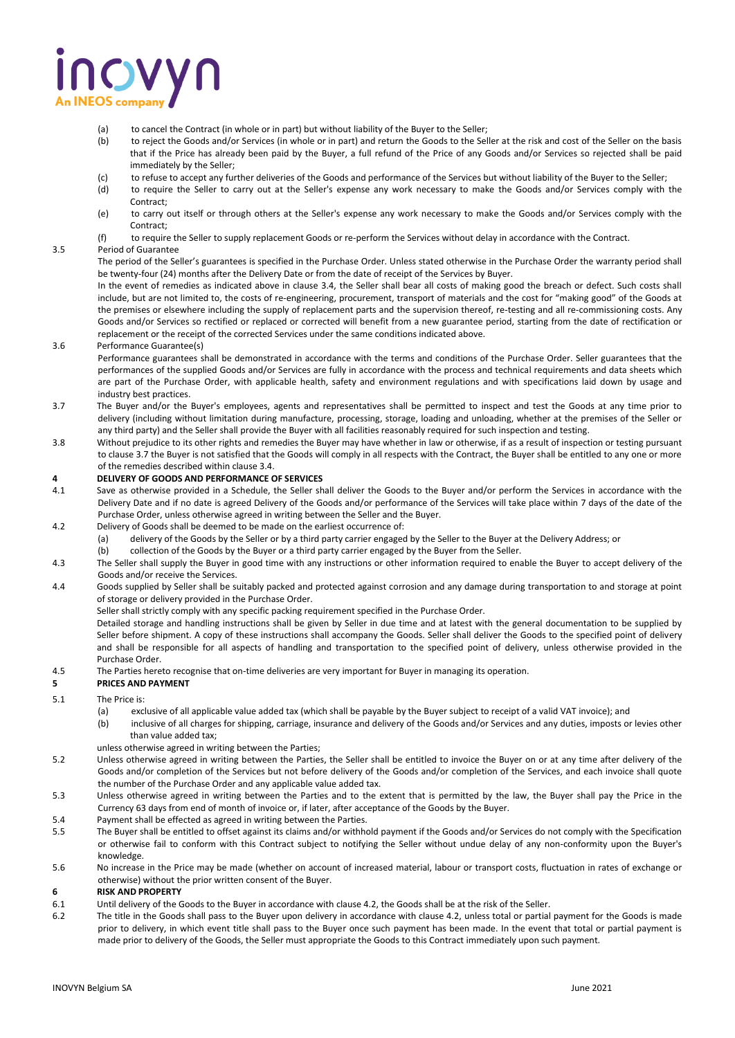## NOVYN

- (a) to cancel the Contract (in whole or in part) but without liability of the Buyer to the Seller;
- (b) to reject the Goods and/or Services (in whole or in part) and return the Goods to the Seller at the risk and cost of the Seller on the basis that if the Price has already been paid by the Buyer, a full refund of the Price of any Goods and/or Services so rejected shall be paid immediately by the Seller;
- (c) to refuse to accept any further deliveries of the Goods and performance of the Services but without liability of the Buyer to the Seller;
- (d) to require the Seller to carry out at the Seller's expense any work necessary to make the Goods and/or Services comply with the Contract;
- (e) to carry out itself or through others at the Seller's expense any work necessary to make the Goods and/or Services comply with the Contract;
- (f) to require the Seller to supply replacement Goods or re-perform the Services without delay in accordance with the Contract.

## 3.5 Period of Guarantee

The period of the Seller's guarantees is specified in the Purchase Order. Unless stated otherwise in the Purchase Order the warranty period shall be twenty-four (24) months after the Delivery Date or from the date of receipt of the Services by Buyer.

In the event of remedies as indicated above in clause 3.4, the Seller shall bear all costs of making good the breach or defect. Such costs shall include, but are not limited to, the costs of re-engineering, procurement, transport of materials and the cost for "making good" of the Goods at the premises or elsewhere including the supply of replacement parts and the supervision thereof, re-testing and all re-commissioning costs. Any Goods and/or Services so rectified or replaced or corrected will benefit from a new guarantee period, starting from the date of rectification or replacement or the receipt of the corrected Services under the same conditions indicated above.

#### 3.6 Performance Guarantee(s)

Performance guarantees shall be demonstrated in accordance with the terms and conditions of the Purchase Order. Seller guarantees that the performances of the supplied Goods and/or Services are fully in accordance with the process and technical requirements and data sheets which are part of the Purchase Order, with applicable health, safety and environment regulations and with specifications laid down by usage and industry best practices.

- 3.7 The Buyer and/or the Buyer's employees, agents and representatives shall be permitted to inspect and test the Goods at any time prior to delivery (including without limitation during manufacture, processing, storage, loading and unloading, whether at the premises of the Seller or any third party) and the Seller shall provide the Buyer with all facilities reasonably required for such inspection and testing.
- 3.8 Without prejudice to its other rights and remedies the Buyer may have whether in law or otherwise, if as a result of inspection or testing pursuant to clause 3.7 the Buyer is not satisfied that the Goods will comply in all respects with the Contract, the Buyer shall be entitled to any one or more of the remedies described within clause 3.4.

## **4 DELIVERY OF GOODS AND PERFORMANCE OF SERVICES**<br>4.1 Save as otherwise provided in a Schedule, the Seller sh

- Save as otherwise provided in a Schedule, the Seller shall deliver the Goods to the Buyer and/or perform the Services in accordance with the Delivery Date and if no date is agreed Delivery of the Goods and/or performance of the Services will take place within 7 days of the date of the Purchase Order, unless otherwise agreed in writing between the Seller and the Buyer.
- 4.2 Delivery of Goods shall be deemed to be made on the earliest occurrence of:
	- (a) delivery of the Goods by the Seller or by a third party carrier engaged by the Seller to the Buyer at the Delivery Address; or
	- (b) collection of the Goods by the Buyer or a third party carrier engaged by the Buyer from the Seller.
- 4.3 The Seller shall supply the Buyer in good time with any instructions or other information required to enable the Buyer to accept delivery of the Goods and/or receive the Services.
- 4.4 Goods supplied by Seller shall be suitably packed and protected against corrosion and any damage during transportation to and storage at point of storage or delivery provided in the Purchase Order.
	- Seller shall strictly comply with any specific packing requirement specified in the Purchase Order.

Detailed storage and handling instructions shall be given by Seller in due time and at latest with the general documentation to be supplied by Seller before shipment. A copy of these instructions shall accompany the Goods. Seller shall deliver the Goods to the specified point of delivery and shall be responsible for all aspects of handling and transportation to the specified point of delivery, unless otherwise provided in the Purchase Order.

4.5 The Parties hereto recognise that on-time deliveries are very important for Buyer in managing its operation.

## **5 PRICES AND PAYMENT**

- 5.1 The Price is:
	- (a) exclusive of all applicable value added tax (which shall be payable by the Buyer subject to receipt of a valid VAT invoice); and
	- (b) inclusive of all charges for shipping, carriage, insurance and delivery of the Goods and/or Services and any duties, imposts or levies other than value added tax;
	- unless otherwise agreed in writing between the Parties;
- 5.2 Unless otherwise agreed in writing between the Parties, the Seller shall be entitled to invoice the Buyer on or at any time after delivery of the Goods and/or completion of the Services but not before delivery of the Goods and/or completion of the Services, and each invoice shall quote the number of the Purchase Order and any applicable value added tax.
- 5.3 Unless otherwise agreed in writing between the Parties and to the extent that is permitted by the law, the Buyer shall pay the Price in the Currency 63 days from end of month of invoice or, if later, after acceptance of the Goods by the Buyer.
- 5.4 Payment shall be effected as agreed in writing between the Parties.<br>5.5 The Buver shall be entitled to offset against its claims and/or withher
- The Buyer shall be entitled to offset against its claims and/or withhold payment if the Goods and/or Services do not comply with the Specification or otherwise fail to conform with this Contract subject to notifying the Seller without undue delay of any non-conformity upon the Buyer's knowledge.
- 5.6 No increase in the Price may be made (whether on account of increased material, labour or transport costs, fluctuation in rates of exchange or otherwise) without the prior written consent of the Buyer.

#### **6 RISK AND PROPERTY**

- 6.1 Until delivery of the Goods to the Buyer in accordance with clause 4.2, the Goods shall be at the risk of the Seller.
- 6.2 The title in the Goods shall pass to the Buyer upon delivery in accordance with clause 4.2, unless total or partial payment for the Goods is made prior to delivery, in which event title shall pass to the Buyer once such payment has been made. In the event that total or partial payment is made prior to delivery of the Goods, the Seller must appropriate the Goods to this Contract immediately upon such payment.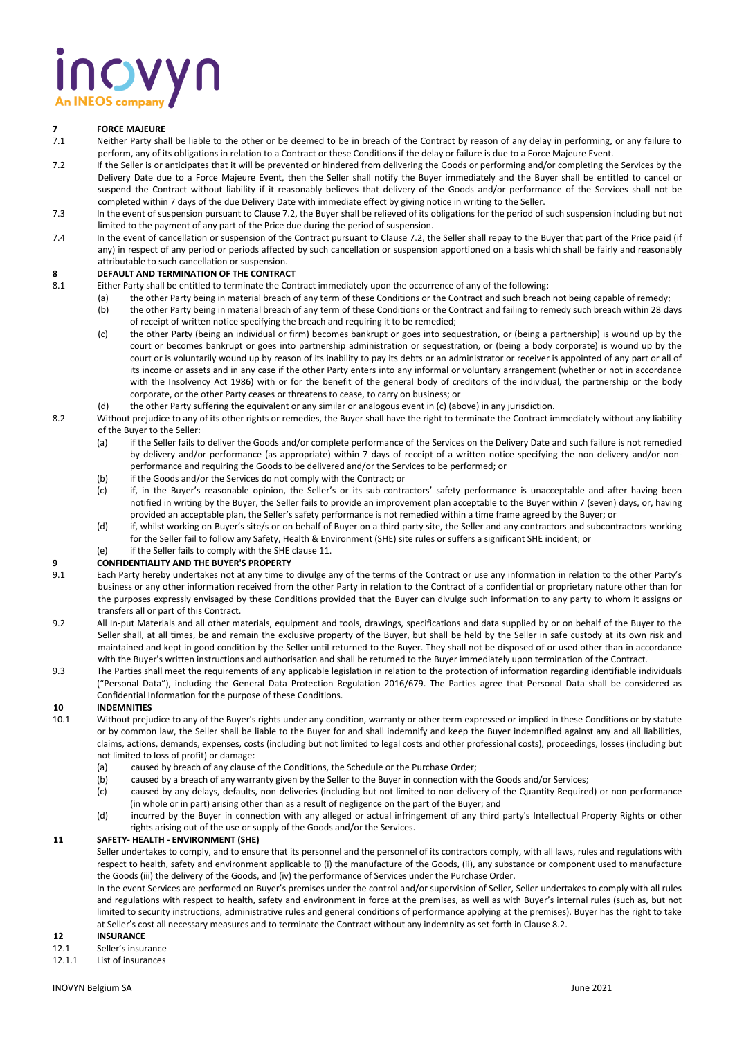## novyn **An INEOS compa**

## **7 FORCE MAJEURE**<br> **7.1 Neither Party shap**

- Neither Party shall be liable to the other or be deemed to be in breach of the Contract by reason of any delay in performing, or any failure to perform, any of its obligations in relation to a Contract or these Conditions if the delay or failure is due to a Force Majeure Event.
- 7.2 If the Seller is or anticipates that it will be prevented or hindered from delivering the Goods or performing and/or completing the Services by the Delivery Date due to a Force Majeure Event, then the Seller shall notify the Buyer immediately and the Buyer shall be entitled to cancel or suspend the Contract without liability if it reasonably believes that delivery of the Goods and/or performance of the Services shall not be completed within 7 days of the due Delivery Date with immediate effect by giving notice in writing to the Seller.
- 7.3 In the event of suspension pursuant to Clause 7.2, the Buyer shall be relieved of its obligations for the period of such suspension including but not limited to the payment of any part of the Price due during the period of suspension.
- 7.4 In the event of cancellation or suspension of the Contract pursuant to Clause 7.2, the Seller shall repay to the Buyer that part of the Price paid (if any) in respect of any period or periods affected by such cancellation or suspension apportioned on a basis which shall be fairly and reasonably attributable to such cancellation or suspension.

## **8 DEFAULT AND TERMINATION OF THE CONTRACT**

- 8.1 Either Party shall be entitled to terminate the Contract immediately upon the occurrence of any of the following:
	- (a) the other Party being in material breach of any term of these Conditions or the Contract and such breach not being capable of remedy;
	- (b) the other Party being in material breach of any term of these Conditions or the Contract and failing to remedy such breach within 28 days of receipt of written notice specifying the breach and requiring it to be remedied;
	- (c) the other Party (being an individual or firm) becomes bankrupt or goes into sequestration, or (being a partnership) is wound up by the court or becomes bankrupt or goes into partnership administration or sequestration, or (being a body corporate) is wound up by the court or is voluntarily wound up by reason of its inability to pay its debts or an administrator or receiver is appointed of any part or all of its income or assets and in any case if the other Party enters into any informal or voluntary arrangement (whether or not in accordance with the Insolvency Act 1986) with or for the benefit of the general body of creditors of the individual, the partnership or the body corporate, or the other Party ceases or threatens to cease, to carry on business; or
	- (d) the other Party suffering the equivalent or any similar or analogous event in (c) (above) in any jurisdiction.
- 8.2 Without prejudice to any of its other rights or remedies, the Buyer shall have the right to terminate the Contract immediately without any liability of the Buyer to the Seller:
	- (a) if the Seller fails to deliver the Goods and/or complete performance of the Services on the Delivery Date and such failure is not remedied by delivery and/or performance (as appropriate) within 7 days of receipt of a written notice specifying the non-delivery and/or nonperformance and requiring the Goods to be delivered and/or the Services to be performed; or
	- (b) if the Goods and/or the Services do not comply with the Contract; or
	- (c) if, in the Buyer's reasonable opinion, the Seller's or its sub-contractors' safety performance is unacceptable and after having been notified in writing by the Buyer, the Seller fails to provide an improvement plan acceptable to the Buyer within 7 (seven) days, or, having provided an acceptable plan, the Seller's safety performance is not remedied within a time frame agreed by the Buyer; or
	- (d) if, whilst working on Buyer's site/s or on behalf of Buyer on a third party site, the Seller and any contractors and subcontractors working for the Seller fail to follow any Safety, Health & Environment (SHE) site rules or suffers a significant SHE incident; or
	- (e) if the Seller fails to comply with the SHE clause 11.

## **9 CONFIDENTIALITY AND THE BUYER'S PROPERTY**

- Each Party hereby undertakes not at any time to divulge any of the terms of the Contract or use any information in relation to the other Party's business or any other information received from the other Party in relation to the Contract of a confidential or proprietary nature other than for the purposes expressly envisaged by these Conditions provided that the Buyer can divulge such information to any party to whom it assigns or transfers all or part of this Contract.
- 9.2 All In-put Materials and all other materials, equipment and tools, drawings, specifications and data supplied by or on behalf of the Buyer to the Seller shall, at all times, be and remain the exclusive property of the Buyer, but shall be held by the Seller in safe custody at its own risk and maintained and kept in good condition by the Seller until returned to the Buyer. They shall not be disposed of or used other than in accordance with the Buyer's written instructions and authorisation and shall be returned to the Buyer immediately upon termination of the Contract.
- 9.3 The Parties shall meet the requirements of any applicable legislation in relation to the protection of information regarding identifiable individuals ("Personal Data"), including the General Data Protection Regulation 2016/679. The Parties agree that Personal Data shall be considered as Confidential Information for the purpose of these Conditions.

## **10 INDEMNITIES**

- 10.1 Without prejudice to any of the Buyer's rights under any condition, warranty or other term expressed or implied in these Conditions or by statute or by common law, the Seller shall be liable to the Buyer for and shall indemnify and keep the Buyer indemnified against any and all liabilities, claims, actions, demands, expenses, costs (including but not limited to legal costs and other professional costs), proceedings, losses (including but not limited to loss of profit) or damage:
	- (a) caused by breach of any clause of the Conditions, the Schedule or the Purchase Order;
	- (b) caused by a breach of any warranty given by the Seller to the Buyer in connection with the Goods and/or Services;
	- (c) caused by any delays, defaults, non-deliveries (including but not limited to non-delivery of the Quantity Required) or non-performance (in whole or in part) arising other than as a result of negligence on the part of the Buyer; and
	- (d) incurred by the Buyer in connection with any alleged or actual infringement of any third party's Intellectual Property Rights or other rights arising out of the use or supply of the Goods and/or the Services.

## **11 SAFETY- HEALTH - ENVIRONMENT (SHE)**

Seller undertakes to comply, and to ensure that its personnel and the personnel of its contractors comply, with all laws, rules and regulations with respect to health, safety and environment applicable to (i) the manufacture of the Goods, (ii), any substance or component used to manufacture the Goods (iii) the delivery of the Goods, and (iv) the performance of Services under the Purchase Order.

In the event Services are performed on Buyer's premises under the control and/or supervision of Seller, Seller undertakes to comply with all rules and regulations with respect to health, safety and environment in force at the premises, as well as with Buyer's internal rules (such as, but not limited to security instructions, administrative rules and general conditions of performance applying at the premises). Buyer has the right to take at Seller's cost all necessary measures and to terminate the Contract without any indemnity as set forth in Clause 8.2.

- **12 INSURANCE**
- Seller's insurance
- 12.1.1 List of insurances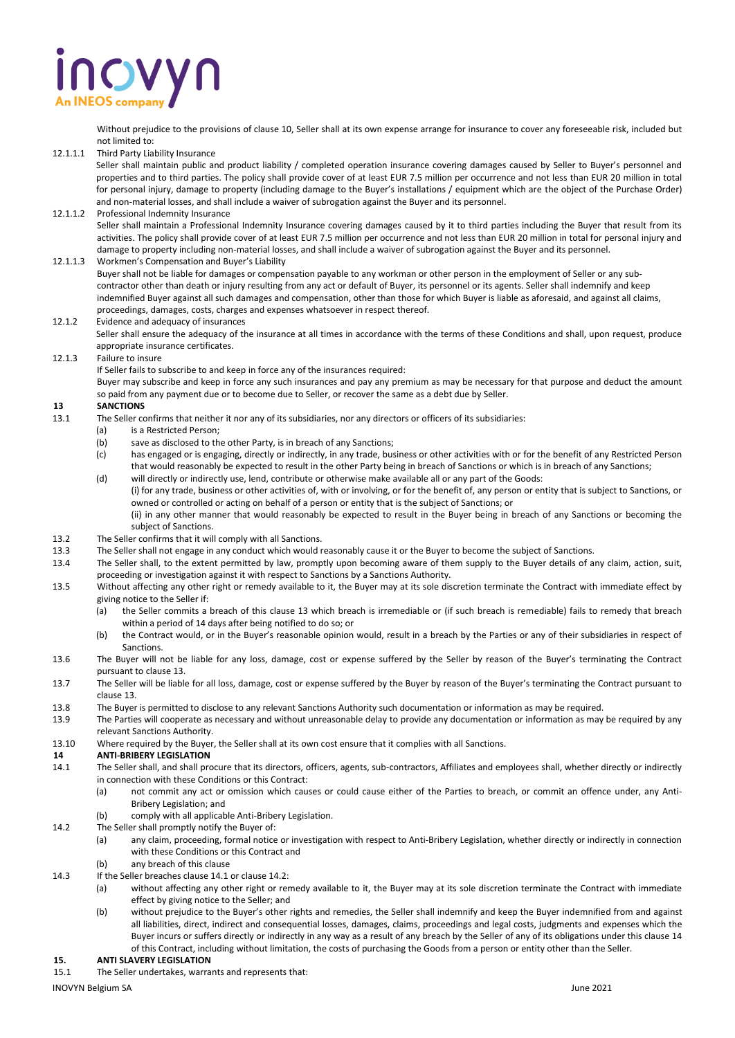# novyn

Without prejudice to the provisions of clause 10, Seller shall at its own expense arrange for insurance to cover any foreseeable risk, included but not limited to:

12.1.1.1 Third Party Liability Insurance

Seller shall maintain public and product liability / completed operation insurance covering damages caused by Seller to Buyer's personnel and properties and to third parties. The policy shall provide cover of at least EUR 7.5 million per occurrence and not less than EUR 20 million in total for personal injury, damage to property (including damage to the Buyer's installations / equipment which are the object of the Purchase Order) and non-material losses, and shall include a waiver of subrogation against the Buyer and its personnel.

## 12.1.1.2 Professional Indemnity Insurance

Seller shall maintain a Professional Indemnity Insurance covering damages caused by it to third parties including the Buyer that result from its activities. The policy shall provide cover of at least EUR 7.5 million per occurrence and not less than EUR 20 million in total for personal injury and damage to property including non-material losses, and shall include a waiver of subrogation against the Buyer and its personnel.

12.1.1.3 Workmen's Compensation and Buyer's Liability Buyer shall not be liable for damages or compensation payable to any workman or other person in the employment of Seller or any subcontractor other than death or injury resulting from any act or default of Buyer, its personnel or its agents. Seller shall indemnify and keep indemnified Buyer against all such damages and compensation, other than those for which Buyer is liable as aforesaid, and against all claims, proceedings, damages, costs, charges and expenses whatsoever in respect thereof.

12.1.2 Evidence and adequacy of insurances

Seller shall ensure the adequacy of the insurance at all times in accordance with the terms of these Conditions and shall, upon request, produce appropriate insurance certificates.

## 12.1.3 Failure to insure

If Seller fails to subscribe to and keep in force any of the insurances required:

Buyer may subscribe and keep in force any such insurances and pay any premium as may be necessary for that purpose and deduct the amount so paid from any payment due or to become due to Seller, or recover the same as a debt due by Seller.

## **13 SANCTIONS**<br>13.1 **The Seller co**

- The Seller confirms that neither it nor any of its subsidiaries, nor any directors or officers of its subsidiaries:
	- (a) is a Restricted Person;
	- (b) save as disclosed to the other Party, is in breach of any Sanctions;
	- (c) has engaged or is engaging, directly or indirectly, in any trade, business or other activities with or for the benefit of any Restricted Person that would reasonably be expected to result in the other Party being in breach of Sanctions or which is in breach of any Sanctions;
	- (d) will directly or indirectly use, lend, contribute or otherwise make available all or any part of the Goods: (i) for any trade, business or other activities of, with or involving, or for the benefit of, any person or entity that is subject to Sanctions, or owned or controlled or acting on behalf of a person or entity that is the subject of Sanctions; or (ii) in any other manner that would reasonably be expected to result in the Buyer being in breach of any Sanctions or becoming the subject of Sanctions.
- 13.2 The Seller confirms that it will comply with all Sanctions.
- 13.3 The Seller shall not engage in any conduct which would reasonably cause it or the Buyer to become the subject of Sanctions.
- 13.4 The Seller shall, to the extent permitted by law, promptly upon becoming aware of them supply to the Buyer details of any claim, action, suit, proceeding or investigation against it with respect to Sanctions by a Sanctions Authority.
- 13.5 Without affecting any other right or remedy available to it, the Buyer may at its sole discretion terminate the Contract with immediate effect by giving notice to the Seller if:
	- (a) the Seller commits a breach of this clause 13 which breach is irremediable or (if such breach is remediable) fails to remedy that breach within a period of 14 days after being notified to do so; or
	- (b) the Contract would, or in the Buyer's reasonable opinion would, result in a breach by the Parties or any of their subsidiaries in respect of Sanctions.
- 13.6 The Buyer will not be liable for any loss, damage, cost or expense suffered by the Seller by reason of the Buyer's terminating the Contract pursuant to clause 13.
- 13.7 The Seller will be liable for all loss, damage, cost or expense suffered by the Buyer by reason of the Buyer's terminating the Contract pursuant to clause 13.
- 13.8 The Buyer is permitted to disclose to any relevant Sanctions Authority such documentation or information as may be required.
- 13.9 The Parties will cooperate as necessary and without unreasonable delay to provide any documentation or information as may be required by any relevant Sanctions Authority.
- 13.10 Where required by the Buyer, the Seller shall at its own cost ensure that it complies with all Sanctions.

## **14 ANTI-BRIBERY LEGISLATION**

- 14.1 The Seller shall, and shall procure that its directors, officers, agents, sub-contractors, Affiliates and employees shall, whether directly or indirectly in connection with these Conditions or this Contract:
	- (a) not commit any act or omission which causes or could cause either of the Parties to breach, or commit an offence under, any Anti-Bribery Legislation; and
	- (b) comply with all applicable Anti-Bribery Legislation.
- 14.2 The Seller shall promptly notify the Buyer of:
	- (a) any claim, proceeding, formal notice or investigation with respect to Anti-Bribery Legislation, whether directly or indirectly in connection with these Conditions or this Contract and
	- (b) any breach of this clause
- 14.3 If the Seller breaches clause 14.1 or clause 14.2:
	- (a) without affecting any other right or remedy available to it, the Buyer may at its sole discretion terminate the Contract with immediate effect by giving notice to the Seller; and
	- (b) without prejudice to the Buyer's other rights and remedies, the Seller shall indemnify and keep the Buyer indemnified from and against all liabilities, direct, indirect and consequential losses, damages, claims, proceedings and legal costs, judgments and expenses which the Buyer incurs or suffers directly or indirectly in any way as a result of any breach by the Seller of any of its obligations under this clause 14 of this Contract, including without limitation, the costs of purchasing the Goods from a person or entity other than the Seller.

## **15. ANTI SLAVERY LEGISLATION**

15.1 The Seller undertakes, warrants and represents that: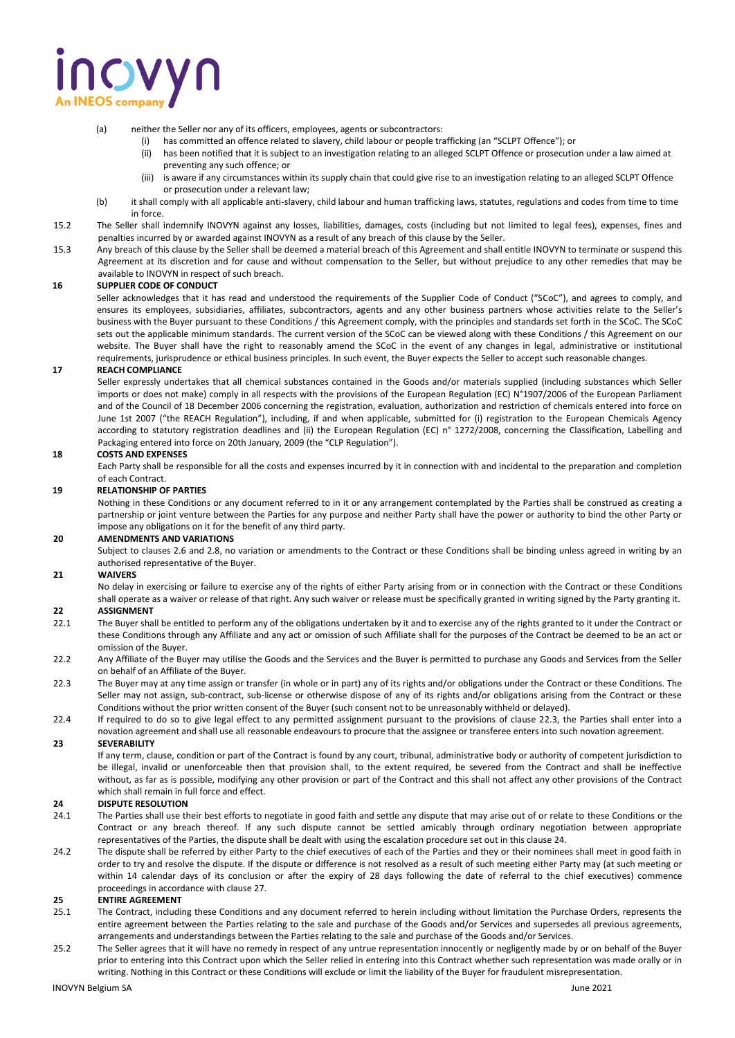## novyn

- (a) neither the Seller nor any of its officers, employees, agents or subcontractors:
	- has committed an offence related to slavery, child labour or people trafficking (an "SCLPT Offence"); or
	- (ii) has been notified that it is subject to an investigation relating to an alleged SCLPT Offence or prosecution under a law aimed at preventing any such offence; or
	- (iii) is aware if any circumstances within its supply chain that could give rise to an investigation relating to an alleged SCLPT Offence or prosecution under a relevant law;
- (b) it shall comply with all applicable anti-slavery, child labour and human trafficking laws, statutes, regulations and codes from time to time in force.
- 15.2 The Seller shall indemnify INOVYN against any losses, liabilities, damages, costs (including but not limited to legal fees), expenses, fines and penalties incurred by or awarded against INOVYN as a result of any breach of this clause by the Seller.
- 15.3 Any breach of this clause by the Seller shall be deemed a material breach of this Agreement and shall entitle INOVYN to terminate or suspend this Agreement at its discretion and for cause and without compensation to the Seller, but without prejudice to any other remedies that may be available to INOVYN in respect of such breach.

## **16 SUPPLIER CODE OF CONDUCT**

Seller acknowledges that it has read and understood the requirements of the Supplier Code of Conduct ("SCoC"), and agrees to comply, and ensures its employees, subsidiaries, affiliates, subcontractors, agents and any other business partners whose activities relate to the Seller's business with the Buyer pursuant to these Conditions / this Agreement comply, with the principles and standards set forth in the SCoC. The SCoC sets out the applicable minimum standards. The current version of the SCoC can be viewed along with these Conditions / this Agreement on our website. The Buyer shall have the right to reasonably amend the SCoC in the event of any changes in legal, administrative or institutional requirements, jurisprudence or ethical business principles. In such event, the Buyer expects the Seller to accept such reasonable changes.

## **17 REACH COMPLIANCE**

Seller expressly undertakes that all chemical substances contained in the Goods and/or materials supplied (including substances which Seller imports or does not make) comply in all respects with the provisions of the European Regulation (EC) N°1907/2006 of the European Parliament and of the Council of 18 December 2006 concerning the registration, evaluation, authorization and restriction of chemicals entered into force on June 1st 2007 ("the REACH Regulation"), including, if and when applicable, submitted for (i) registration to the European Chemicals Agency according to statutory registration deadlines and (ii) the European Regulation (EC) n° 1272/2008, concerning the Classification, Labelling and Packaging entered into force on 20th January, 2009 (the "CLP Regulation").

## **18 COSTS AND EXPENSES**

Each Party shall be responsible for all the costs and expenses incurred by it in connection with and incidental to the preparation and completion of each Contract.

## **19 RELATIONSHIP OF PARTIES**

Nothing in these Conditions or any document referred to in it or any arrangement contemplated by the Parties shall be construed as creating a partnership or joint venture between the Parties for any purpose and neither Party shall have the power or authority to bind the other Party or impose any obligations on it for the benefit of any third party.

## **20 AMENDMENTS AND VARIATIONS**

Subject to clauses 2.6 and 2.8, no variation or amendments to the Contract or these Conditions shall be binding unless agreed in writing by an authorised representative of the Buyer.

## **21 WAIVERS**

No delay in exercising or failure to exercise any of the rights of either Party arising from or in connection with the Contract or these Conditions shall operate as a waiver or release of that right. Any such waiver or release must be specifically granted in writing signed by the Party granting it.

## **22 ASSIGNMENT**

- 22.1 The Buyer shall be entitled to perform any of the obligations undertaken by it and to exercise any of the rights granted to it under the Contract or these Conditions through any Affiliate and any act or omission of such Affiliate shall for the purposes of the Contract be deemed to be an act or omission of the Buyer.
- 22.2 Any Affiliate of the Buyer may utilise the Goods and the Services and the Buyer is permitted to purchase any Goods and Services from the Seller on behalf of an Affiliate of the Buyer.
- 22.3 The Buyer may at any time assign or transfer (in whole or in part) any of its rights and/or obligations under the Contract or these Conditions. The Seller may not assign, sub-contract, sub-license or otherwise dispose of any of its rights and/or obligations arising from the Contract or these Conditions without the prior written consent of the Buyer (such consent not to be unreasonably withheld or delayed).
- 22.4 If required to do so to give legal effect to any permitted assignment pursuant to the provisions of clause 22.3, the Parties shall enter into a novation agreement and shall use all reasonable endeavours to procure that the assignee or transferee enters into such novation agreement.

## **23 SEVERABILITY**

If any term, clause, condition or part of the Contract is found by any court, tribunal, administrative body or authority of competent jurisdiction to be illegal, invalid or unenforceable then that provision shall, to the extent required, be severed from the Contract and shall be ineffective without, as far as is possible, modifying any other provision or part of the Contract and this shall not affect any other provisions of the Contract which shall remain in full force and effect.

## **24 DISPUTE RESOLUTION**

- 24.1 The Parties shall use their best efforts to negotiate in good faith and settle any dispute that may arise out of or relate to these Conditions or the Contract or any breach thereof. If any such dispute cannot be settled amicably through ordinary negotiation between appropriate representatives of the Parties, the dispute shall be dealt with using the escalation procedure set out in this clause 24.
- 24.2 The dispute shall be referred by either Party to the chief executives of each of the Parties and they or their nominees shall meet in good faith in order to try and resolve the dispute. If the dispute or difference is not resolved as a result of such meeting either Party may (at such meeting or within 14 calendar days of its conclusion or after the expiry of 28 days following the date of referral to the chief executives) commence proceedings in accordance with clause 27.

## **25 ENTIRE AGREEMENT**

- 25.1 The Contract, including these Conditions and any document referred to herein including without limitation the Purchase Orders, represents the entire agreement between the Parties relating to the sale and purchase of the Goods and/or Services and supersedes all previous agreements, arrangements and understandings between the Parties relating to the sale and purchase of the Goods and/or Services.
- 25.2 The Seller agrees that it will have no remedy in respect of any untrue representation innocently or negligently made by or on behalf of the Buyer prior to entering into this Contract upon which the Seller relied in entering into this Contract whether such representation was made orally or in writing. Nothing in this Contract or these Conditions will exclude or limit the liability of the Buyer for fraudulent misrepresentation.